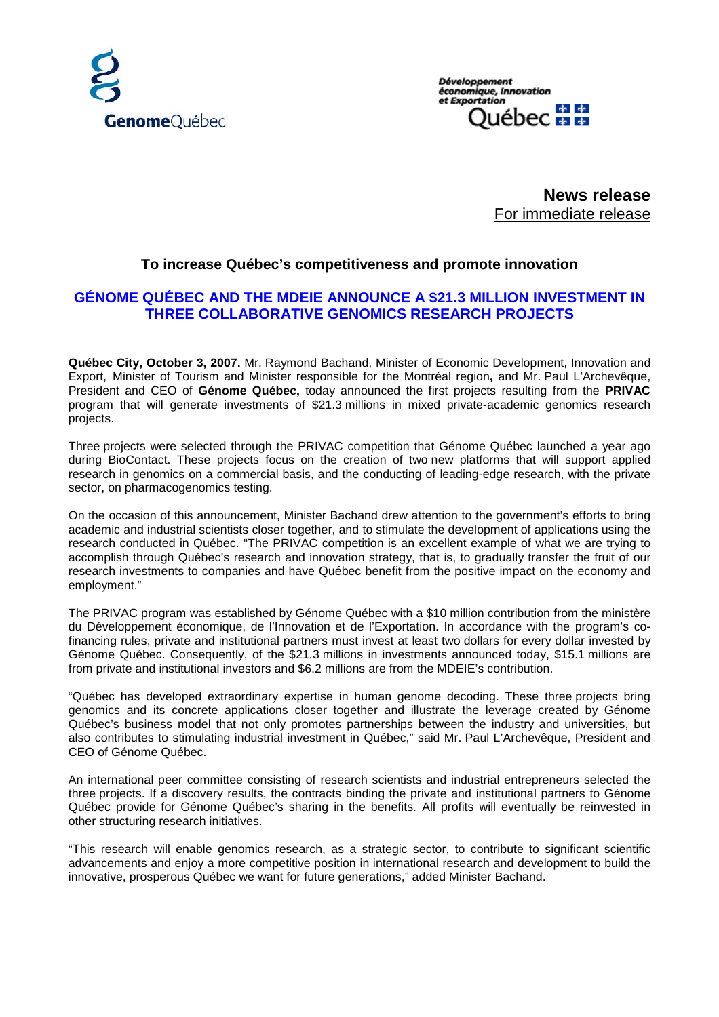

**Développement** économique, Innovation et Exportation Jébec <del>A A</del>

> **News release** For immediate release

## **To increase Québec's competitiveness and promote innovation**

# **GÉNOME QUÉBEC AND THE MDEIE ANNOUNCE A \$21.3 MILLION INVESTMENT IN THREE COLLABORATIVE GENOMICS RESEARCH PROJECTS**

**Québec City, October 3, 2007.** Mr. Raymond Bachand, Minister of Economic Development, Innovation and Export, Minister of Tourism and Minister responsible for the Montréal region**,** and Mr. Paul L'Archevêque, President and CEO of **Génome Québec,** today announced the first projects resulting from the **PRIVAC** program that will generate investments of \$21.3 millions in mixed private-academic genomics research projects.

Three projects were selected through the PRIVAC competition that Génome Québec launched a year ago during BioContact. These projects focus on the creation of two new platforms that will support applied research in genomics on a commercial basis, and the conducting of leading-edge research, with the private sector, on pharmacogenomics testing.

On the occasion of this announcement, Minister Bachand drew attention to the government's efforts to bring academic and industrial scientists closer together, and to stimulate the development of applications using the research conducted in Québec. "The PRIVAC competition is an excellent example of what we are trying to accomplish through Québec's research and innovation strategy, that is, to gradually transfer the fruit of our research investments to companies and have Québec benefit from the positive impact on the economy and employment."

The PRIVAC program was established by Génome Québec with a \$10 million contribution from the ministère du Développement économique, de l'Innovation et de l'Exportation. In accordance with the program's cofinancing rules, private and institutional partners must invest at least two dollars for every dollar invested by Génome Québec. Consequently, of the \$21.3 millions in investments announced today, \$15.1 millions are from private and institutional investors and \$6.2 millions are from the MDEIE's contribution.

"Québec has developed extraordinary expertise in human genome decoding. These three projects bring genomics and its concrete applications closer together and illustrate the leverage created by Génome Québec's business model that not only promotes partnerships between the industry and universities, but also contributes to stimulating industrial investment in Québec," said Mr. Paul L'Archevêque, President and CEO of Génome Québec.

An international peer committee consisting of research scientists and industrial entrepreneurs selected the three projects. If a discovery results, the contracts binding the private and institutional partners to Génome Québec provide for Génome Québec's sharing in the benefits. All profits will eventually be reinvested in other structuring research initiatives.

"This research will enable genomics research, as a strategic sector, to contribute to significant scientific advancements and enjoy a more competitive position in international research and development to build the innovative, prosperous Québec we want for future generations," added Minister Bachand.